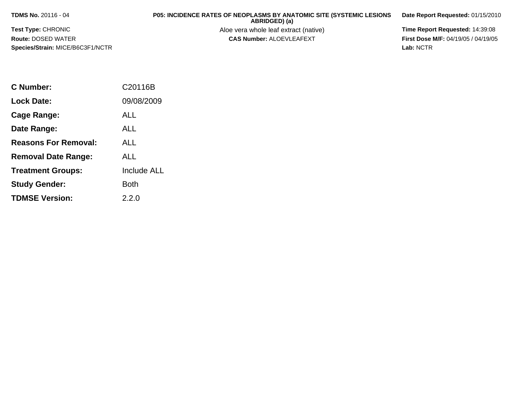**TDMS No.** 20116 - 04

**Test Type:** CHRONIC

**Route:** DOSED WATER

**Species/Strain:** MICE/B6C3F1/NCTR

**P05: INCIDENCE RATES OF NEOPLASMS BY ANATOMIC SITE (SYSTEMIC LESIONS ABRIDGED) (a)**

Aloe vera whole leaf extract (native) **Time Report Requested:** 14:39:08<br>**CAS Number:** ALOEVLEAFEXT **The State of the First Dose M/F:** 04/19/05 / 04/19/05

**Date Report Requested:** 01/15/2010

**First Dose M/F:** 04/19/05 / 04/19/05<br>Lab: NCTR **Lab:** NCTR

| C Number:                   | C <sub>20116</sub> B |
|-----------------------------|----------------------|
| Lock Date:                  | 09/08/2009           |
| Cage Range:                 | ALL                  |
| Date Range:                 | AI L                 |
| <b>Reasons For Removal:</b> | ALL.                 |
| <b>Removal Date Range:</b>  | ALL                  |
| <b>Treatment Groups:</b>    | <b>Include ALL</b>   |
| <b>Study Gender:</b>        | <b>Both</b>          |
| <b>TDMSE Version:</b>       | 2.2.0                |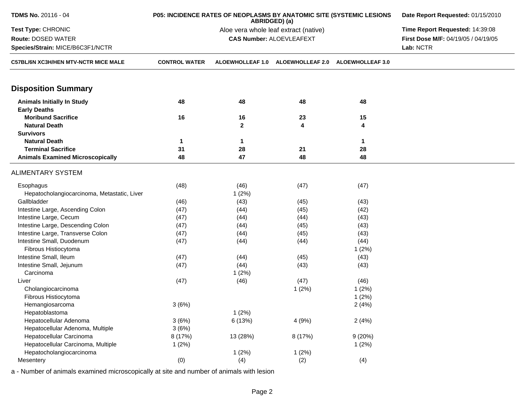| TDMS No. 20116 - 04                         | P05: INCIDENCE RATES OF NEOPLASMS BY ANATOMIC SITE (SYSTEMIC LESIONS | Date Report Requested: 01/15/2010     |                                 |                         |                                     |
|---------------------------------------------|----------------------------------------------------------------------|---------------------------------------|---------------------------------|-------------------------|-------------------------------------|
| Test Type: CHRONIC                          |                                                                      | Aloe vera whole leaf extract (native) | Time Report Requested: 14:39:08 |                         |                                     |
| Route: DOSED WATER                          |                                                                      | <b>CAS Number: ALOEVLEAFEXT</b>       |                                 |                         | First Dose M/F: 04/19/05 / 04/19/05 |
| Species/Strain: MICE/B6C3F1/NCTR            |                                                                      |                                       |                                 |                         | Lab: NCTR                           |
| <b>C57BL/6N XC3H/HEN MTV-NCTR MICE MALE</b> | <b>CONTROL WATER</b>                                                 | <b>ALOEWHOLLEAF 1.0</b>               | <b>ALOEWHOLLEAF 2.0</b>         | <b>ALOEWHOLLEAF 3.0</b> |                                     |
| <b>Disposition Summary</b>                  |                                                                      |                                       |                                 |                         |                                     |
| <b>Animals Initially In Study</b>           | 48                                                                   | 48                                    | 48                              | 48                      |                                     |
| <b>Early Deaths</b>                         |                                                                      |                                       |                                 |                         |                                     |
| <b>Moribund Sacrifice</b>                   | 16                                                                   | 16                                    | 23                              | 15                      |                                     |
| <b>Natural Death</b>                        |                                                                      | $\mathbf{2}$                          | 4                               | 4                       |                                     |
| <b>Survivors</b>                            |                                                                      |                                       |                                 |                         |                                     |
| <b>Natural Death</b>                        | 1                                                                    | 1                                     |                                 | 1                       |                                     |
| <b>Terminal Sacrifice</b>                   | 31                                                                   | 28                                    | 21                              | 28                      |                                     |
| <b>Animals Examined Microscopically</b>     | 48                                                                   | 47                                    | 48                              | 48                      |                                     |
| <b>ALIMENTARY SYSTEM</b>                    |                                                                      |                                       |                                 |                         |                                     |
|                                             |                                                                      |                                       |                                 |                         |                                     |
| Esophagus                                   | (48)                                                                 | (46)                                  | (47)                            | (47)                    |                                     |
| Hepatocholangiocarcinoma, Metastatic, Liver |                                                                      | 1(2%)                                 |                                 |                         |                                     |
| Gallbladder                                 | (46)                                                                 | (43)                                  | (45)                            | (43)                    |                                     |
| Intestine Large, Ascending Colon            | (47)                                                                 | (44)                                  | (45)                            | (42)                    |                                     |
| Intestine Large, Cecum                      | (47)                                                                 | (44)                                  | (44)                            | (43)                    |                                     |
| Intestine Large, Descending Colon           | (47)                                                                 | (44)                                  | (45)                            | (43)                    |                                     |
| Intestine Large, Transverse Colon           | (47)                                                                 | (44)                                  | (45)                            | (43)                    |                                     |
| Intestine Small, Duodenum                   | (47)                                                                 | (44)                                  | (44)                            | (44)                    |                                     |
| Fibrous Histiocytoma                        |                                                                      |                                       |                                 | 1(2%)                   |                                     |
| Intestine Small, Ileum                      | (47)                                                                 | (44)                                  | (45)                            | (43)                    |                                     |
| Intestine Small, Jejunum                    | (47)                                                                 | (44)                                  | (43)                            | (43)                    |                                     |
| Carcinoma                                   |                                                                      | 1(2%)                                 |                                 |                         |                                     |
| Liver                                       | (47)                                                                 | (46)                                  | (47)                            | (46)                    |                                     |
| Cholangiocarcinoma                          |                                                                      |                                       | 1(2%)                           | 1(2%)                   |                                     |
| Fibrous Histiocytoma                        |                                                                      |                                       |                                 | 1(2%)                   |                                     |
| Hemangiosarcoma                             | 3(6%)                                                                |                                       |                                 | 2(4%)                   |                                     |
| Hepatoblastoma                              |                                                                      | 1(2%)                                 |                                 |                         |                                     |
| Hepatocellular Adenoma                      | 3(6%)                                                                | 6 (13%)                               | 4(9%)                           | 2(4%)                   |                                     |
| Hepatocellular Adenoma, Multiple            | 3(6%)                                                                |                                       |                                 |                         |                                     |
| Hepatocellular Carcinoma                    | 8 (17%)                                                              | 13 (28%)                              | 8 (17%)                         | 9(20%)                  |                                     |
| Hepatocellular Carcinoma, Multiple          | 1(2%)                                                                |                                       |                                 | 1(2%)                   |                                     |
| Hepatocholangiocarcinoma                    |                                                                      | 1(2%)                                 | 1(2%)                           |                         |                                     |
| Mesentery                                   | (0)                                                                  | (4)                                   | (2)                             | (4)                     |                                     |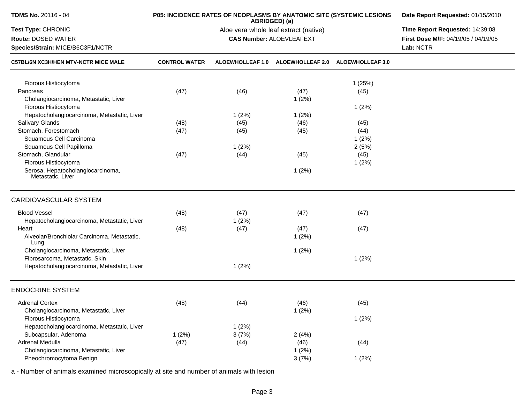| <b>TDMS No. 20116 - 04</b><br>P05: INCIDENCE RATES OF NEOPLASMS BY ANATOMIC SITE (SYSTEMIC LESIONS<br>ABRIDGED) (a) |                      |                                       |                                 |                         | Date Report Requested: 01/15/2010   |
|---------------------------------------------------------------------------------------------------------------------|----------------------|---------------------------------------|---------------------------------|-------------------------|-------------------------------------|
| Test Type: CHRONIC                                                                                                  |                      | Aloe vera whole leaf extract (native) | Time Report Requested: 14:39:08 |                         |                                     |
| Route: DOSED WATER                                                                                                  |                      |                                       | <b>CAS Number: ALOEVLEAFEXT</b> |                         | First Dose M/F: 04/19/05 / 04/19/05 |
| Species/Strain: MICE/B6C3F1/NCTR                                                                                    |                      |                                       |                                 | Lab: NCTR               |                                     |
| <b>C57BL/6N XC3H/HEN MTV-NCTR MICE MALE</b>                                                                         | <b>CONTROL WATER</b> | <b>ALOEWHOLLEAF 1.0</b>               | <b>ALOEWHOLLEAF 2.0</b>         | <b>ALOEWHOLLEAF 3.0</b> |                                     |
| Fibrous Histiocytoma                                                                                                |                      |                                       |                                 | 1(25%)                  |                                     |
| Pancreas                                                                                                            | (47)                 | (46)                                  | (47)                            | (45)                    |                                     |
| Cholangiocarcinoma, Metastatic, Liver                                                                               |                      |                                       | 1(2%)                           |                         |                                     |
| Fibrous Histiocytoma                                                                                                |                      |                                       |                                 | 1(2%)                   |                                     |
| Hepatocholangiocarcinoma, Metastatic, Liver                                                                         |                      | 1(2%)                                 | 1(2%)                           |                         |                                     |
| Salivary Glands                                                                                                     | (48)                 | (45)                                  | (46)                            | (45)                    |                                     |
| Stomach, Forestomach                                                                                                | (47)                 | (45)                                  | (45)                            | (44)                    |                                     |
| Squamous Cell Carcinoma                                                                                             |                      |                                       |                                 | 1(2%)                   |                                     |
| Squamous Cell Papilloma                                                                                             |                      | 1(2%)                                 |                                 | 2(5%)                   |                                     |
| Stomach, Glandular                                                                                                  | (47)                 | (44)                                  | (45)                            | (45)                    |                                     |
| Fibrous Histiocytoma                                                                                                |                      |                                       |                                 | 1(2%)                   |                                     |
| Serosa, Hepatocholangiocarcinoma,<br>Metastatic, Liver                                                              |                      |                                       | 1(2%)                           |                         |                                     |
| CARDIOVASCULAR SYSTEM                                                                                               |                      |                                       |                                 |                         |                                     |
| <b>Blood Vessel</b>                                                                                                 | (48)                 | (47)                                  | (47)                            | (47)                    |                                     |
| Hepatocholangiocarcinoma, Metastatic, Liver                                                                         |                      | 1(2%)                                 |                                 |                         |                                     |
| Heart                                                                                                               | (48)                 | (47)                                  | (47)                            | (47)                    |                                     |
| Alveolar/Bronchiolar Carcinoma, Metastatic,<br>Lung                                                                 |                      |                                       | 1(2%)                           |                         |                                     |
| Cholangiocarcinoma, Metastatic, Liver                                                                               |                      |                                       | 1(2%)                           |                         |                                     |
| Fibrosarcoma, Metastatic, Skin                                                                                      |                      |                                       |                                 | 1(2%)                   |                                     |
| Hepatocholangiocarcinoma, Metastatic, Liver                                                                         |                      | 1(2%)                                 |                                 |                         |                                     |
| <b>ENDOCRINE SYSTEM</b>                                                                                             |                      |                                       |                                 |                         |                                     |
| <b>Adrenal Cortex</b>                                                                                               | (48)                 | (44)                                  | (46)                            | (45)                    |                                     |
| Cholangiocarcinoma, Metastatic, Liver                                                                               |                      |                                       | 1(2%)                           |                         |                                     |
| Fibrous Histiocytoma                                                                                                |                      |                                       |                                 | 1(2%)                   |                                     |
| Hepatocholangiocarcinoma, Metastatic, Liver                                                                         |                      | 1(2%)                                 |                                 |                         |                                     |
| Subcapsular, Adenoma                                                                                                | 1(2%)                | 3(7%)                                 | 2(4%)                           |                         |                                     |
| Adrenal Medulla                                                                                                     | (47)                 | (44)                                  | (46)                            | (44)                    |                                     |
| Cholangiocarcinoma, Metastatic, Liver                                                                               |                      |                                       | 1(2%)                           |                         |                                     |
| Pheochromocytoma Benign                                                                                             |                      |                                       | 3(7%)                           | 1(2%)                   |                                     |
|                                                                                                                     |                      |                                       |                                 |                         |                                     |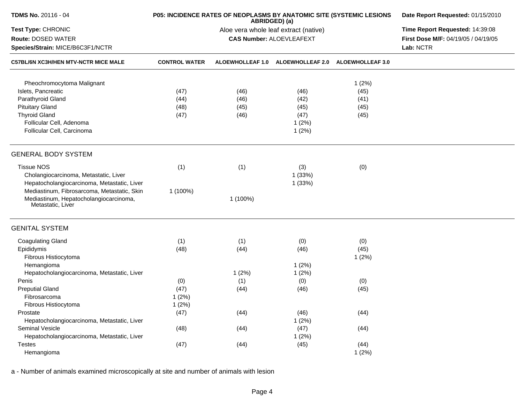| TDMS No. 20116 - 04                                         |                      | P05: INCIDENCE RATES OF NEOPLASMS BY ANATOMIC SITE (SYSTEMIC LESIONS<br>ABRIDGED) (a) | Date Report Requested: 01/15/2010<br>Time Report Requested: 14:39:08 |                         |                                     |
|-------------------------------------------------------------|----------------------|---------------------------------------------------------------------------------------|----------------------------------------------------------------------|-------------------------|-------------------------------------|
| Test Type: CHRONIC                                          |                      | Aloe vera whole leaf extract (native)                                                 |                                                                      |                         |                                     |
| Route: DOSED WATER                                          |                      |                                                                                       | <b>CAS Number: ALOEVLEAFEXT</b>                                      |                         | First Dose M/F: 04/19/05 / 04/19/05 |
| Species/Strain: MICE/B6C3F1/NCTR                            |                      |                                                                                       | Lab: NCTR                                                            |                         |                                     |
| <b>C57BL/6N XC3H/HEN MTV-NCTR MICE MALE</b>                 | <b>CONTROL WATER</b> | ALOEWHOLLEAF 1.0                                                                      | <b>ALOEWHOLLEAF 2.0</b>                                              | <b>ALOEWHOLLEAF 3.0</b> |                                     |
| Pheochromocytoma Malignant                                  |                      |                                                                                       |                                                                      | 1(2%)                   |                                     |
| Islets, Pancreatic                                          | (47)                 | (46)                                                                                  | (46)                                                                 | (45)                    |                                     |
| Parathyroid Gland                                           | (44)                 | (46)                                                                                  | (42)                                                                 | (41)                    |                                     |
| <b>Pituitary Gland</b>                                      | (48)                 | (45)                                                                                  | (45)                                                                 | (45)                    |                                     |
| <b>Thyroid Gland</b>                                        | (47)                 | (46)                                                                                  | (47)                                                                 | (45)                    |                                     |
| Follicular Cell, Adenoma                                    |                      |                                                                                       |                                                                      |                         |                                     |
| Follicular Cell, Carcinoma                                  |                      |                                                                                       | 1(2%)<br>1(2%)                                                       |                         |                                     |
| <b>GENERAL BODY SYSTEM</b>                                  |                      |                                                                                       |                                                                      |                         |                                     |
| <b>Tissue NOS</b>                                           | (1)                  | (1)                                                                                   | (3)                                                                  | (0)                     |                                     |
| Cholangiocarcinoma, Metastatic, Liver                       |                      |                                                                                       | 1 (33%)                                                              |                         |                                     |
| Hepatocholangiocarcinoma, Metastatic, Liver                 |                      |                                                                                       | 1(33%)                                                               |                         |                                     |
| Mediastinum, Fibrosarcoma, Metastatic, Skin                 | 1 (100%)             |                                                                                       |                                                                      |                         |                                     |
| Mediastinum, Hepatocholangiocarcinoma,<br>Metastatic, Liver |                      | 1 (100%)                                                                              |                                                                      |                         |                                     |
| <b>GENITAL SYSTEM</b>                                       |                      |                                                                                       |                                                                      |                         |                                     |
| <b>Coagulating Gland</b>                                    | (1)                  | (1)                                                                                   | (0)                                                                  | (0)                     |                                     |
| Epididymis                                                  | (48)                 | (44)                                                                                  | (46)                                                                 | (45)                    |                                     |
| Fibrous Histiocytoma                                        |                      |                                                                                       |                                                                      | 1(2%)                   |                                     |
| Hemangioma                                                  |                      |                                                                                       | 1(2%)                                                                |                         |                                     |
| Hepatocholangiocarcinoma, Metastatic, Liver                 |                      | 1(2%)                                                                                 | 1(2%)                                                                |                         |                                     |
| Penis                                                       | (0)                  | (1)                                                                                   | (0)                                                                  | (0)                     |                                     |
| <b>Preputial Gland</b>                                      | (47)                 | (44)                                                                                  | (46)                                                                 | (45)                    |                                     |
| Fibrosarcoma                                                | 1(2%)                |                                                                                       |                                                                      |                         |                                     |
| Fibrous Histiocytoma                                        | 1(2%)                |                                                                                       |                                                                      |                         |                                     |
| Prostate                                                    | (47)                 | (44)                                                                                  | (46)                                                                 | (44)                    |                                     |
| Hepatocholangiocarcinoma, Metastatic, Liver                 |                      |                                                                                       | 1(2%)                                                                |                         |                                     |
| Seminal Vesicle                                             | (48)                 | (44)                                                                                  | (47)                                                                 | (44)                    |                                     |
| Hepatocholangiocarcinoma, Metastatic, Liver                 |                      |                                                                                       | 1(2%)                                                                |                         |                                     |
| <b>Testes</b>                                               | (47)                 | (44)                                                                                  | (45)                                                                 | (44)                    |                                     |
| Hemangioma                                                  |                      |                                                                                       |                                                                      | 1(2%)                   |                                     |
|                                                             |                      |                                                                                       |                                                                      |                         |                                     |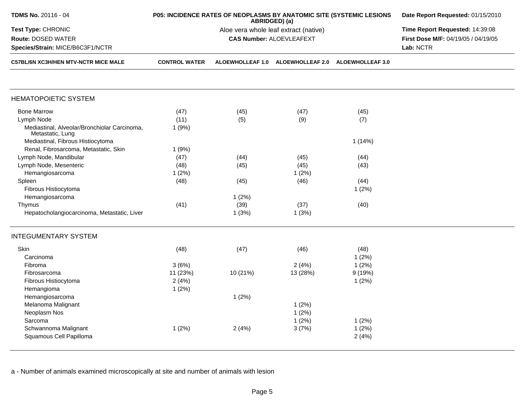| <b>TDMS No. 20116 - 04</b>                                       |                      | P05: INCIDENCE RATES OF NEOPLASMS BY ANATOMIC SITE (SYSTEMIC LESIONS<br>ABRIDGED) (a) | Date Report Requested: 01/15/2010                  |        |                                     |
|------------------------------------------------------------------|----------------------|---------------------------------------------------------------------------------------|----------------------------------------------------|--------|-------------------------------------|
| Test Type: CHRONIC                                               |                      |                                                                                       | Aloe vera whole leaf extract (native)              |        | Time Report Requested: 14:39:08     |
| Route: DOSED WATER                                               |                      |                                                                                       | <b>CAS Number: ALOEVLEAFEXT</b>                    |        | First Dose M/F: 04/19/05 / 04/19/05 |
| Species/Strain: MICE/B6C3F1/NCTR                                 |                      |                                                                                       |                                                    |        | Lab: NCTR                           |
| C57BL/6N XC3H/HEN MTV-NCTR MICE MALE                             | <b>CONTROL WATER</b> |                                                                                       | ALOEWHOLLEAF 1.0 ALOEWHOLLEAF 2.0 ALOEWHOLLEAF 3.0 |        |                                     |
| <b>HEMATOPOIETIC SYSTEM</b>                                      |                      |                                                                                       |                                                    |        |                                     |
| <b>Bone Marrow</b>                                               | (47)                 | (45)                                                                                  | (47)                                               | (45)   |                                     |
| Lymph Node                                                       | (11)                 | (5)                                                                                   | (9)                                                | (7)    |                                     |
| Mediastinal, Alveolar/Bronchiolar Carcinoma,<br>Metastatic, Lung | 1(9%)                |                                                                                       |                                                    |        |                                     |
| Mediastinal, Fibrous Histiocytoma                                |                      |                                                                                       |                                                    | 1(14%) |                                     |
| Renal, Fibrosarcoma, Metastatic, Skin                            | 1(9%)                |                                                                                       |                                                    |        |                                     |
| Lymph Node, Mandibular                                           | (47)                 | (44)                                                                                  | (45)                                               | (44)   |                                     |
| Lymph Node, Mesenteric                                           | (48)                 | (45)                                                                                  | (45)                                               | (43)   |                                     |
| Hemangiosarcoma                                                  | 1(2%)                |                                                                                       | 1(2%)                                              |        |                                     |
| Spleen                                                           | (48)                 | (45)                                                                                  | (46)                                               | (44)   |                                     |
| Fibrous Histiocytoma                                             |                      |                                                                                       |                                                    | 1(2%)  |                                     |
| Hemangiosarcoma                                                  |                      | 1(2%)                                                                                 |                                                    |        |                                     |
| Thymus                                                           | (41)                 | (39)                                                                                  | (37)                                               | (40)   |                                     |
| Hepatocholangiocarcinoma, Metastatic, Liver                      |                      | 1(3%)                                                                                 | 1(3%)                                              |        |                                     |
| <b>INTEGUMENTARY SYSTEM</b>                                      |                      |                                                                                       |                                                    |        |                                     |
| Skin                                                             | (48)                 | (47)                                                                                  | (46)                                               | (48)   |                                     |
| Carcinoma                                                        |                      |                                                                                       |                                                    | 1(2%)  |                                     |
| Fibroma                                                          | 3(6%)                |                                                                                       | 2(4%)                                              | 1(2%)  |                                     |
| Fibrosarcoma                                                     | 11 (23%)             | 10 (21%)                                                                              | 13 (28%)                                           | 9(19%) |                                     |
| Fibrous Histiocytoma                                             | 2(4%)                |                                                                                       |                                                    | 1(2%)  |                                     |
| Hemangioma                                                       | 1(2%)                |                                                                                       |                                                    |        |                                     |
| Hemangiosarcoma                                                  |                      | 1(2%)                                                                                 |                                                    |        |                                     |
| Melanoma Malignant                                               |                      |                                                                                       | 1(2%)                                              |        |                                     |
| Neoplasm Nos                                                     |                      |                                                                                       | 1(2%)                                              |        |                                     |
| Sarcoma                                                          |                      |                                                                                       | 1(2%)                                              | 1(2%)  |                                     |
| Schwannoma Malignant                                             | 1(2%)                | 2(4%)                                                                                 | 3(7%)                                              | 1(2%)  |                                     |
| Squamous Cell Papilloma                                          |                      |                                                                                       |                                                    | 2(4%)  |                                     |
|                                                                  |                      |                                                                                       |                                                    |        |                                     |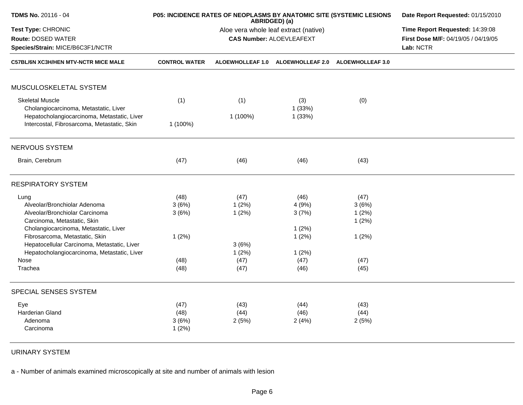| TDMS No. 20116 - 04                         |                      | P05: INCIDENCE RATES OF NEOPLASMS BY ANATOMIC SITE (SYSTEMIC LESIONS<br>ABRIDGED) (a) | Date Report Requested: 01/15/2010<br>Time Report Requested: 14:39:08 |                         |                                     |
|---------------------------------------------|----------------------|---------------------------------------------------------------------------------------|----------------------------------------------------------------------|-------------------------|-------------------------------------|
| Test Type: CHRONIC                          |                      | Aloe vera whole leaf extract (native)                                                 |                                                                      |                         |                                     |
| <b>Route: DOSED WATER</b>                   |                      |                                                                                       | <b>CAS Number: ALOEVLEAFEXT</b>                                      |                         | First Dose M/F: 04/19/05 / 04/19/05 |
| Species/Strain: MICE/B6C3F1/NCTR            |                      |                                                                                       |                                                                      |                         | Lab: NCTR                           |
| <b>C57BL/6N XC3H/HEN MTV-NCTR MICE MALE</b> | <b>CONTROL WATER</b> | <b>ALOEWHOLLEAF 1.0</b>                                                               | <b>ALOEWHOLLEAF 2.0</b>                                              | <b>ALOEWHOLLEAF 3.0</b> |                                     |
| MUSCULOSKELETAL SYSTEM                      |                      |                                                                                       |                                                                      |                         |                                     |
| <b>Skeletal Muscle</b>                      |                      |                                                                                       |                                                                      |                         |                                     |
| Cholangiocarcinoma, Metastatic, Liver       | (1)                  | (1)                                                                                   | (3)<br>1(33%)                                                        | (0)                     |                                     |
| Hepatocholangiocarcinoma, Metastatic, Liver |                      | 1 (100%)                                                                              | 1(33%)                                                               |                         |                                     |
| Intercostal, Fibrosarcoma, Metastatic, Skin | 1 (100%)             |                                                                                       |                                                                      |                         |                                     |
| NERVOUS SYSTEM                              |                      |                                                                                       |                                                                      |                         |                                     |
| Brain, Cerebrum                             | (47)                 | (46)                                                                                  | (46)                                                                 | (43)                    |                                     |
| <b>RESPIRATORY SYSTEM</b>                   |                      |                                                                                       |                                                                      |                         |                                     |
| Lung                                        | (48)                 | (47)                                                                                  | (46)                                                                 | (47)                    |                                     |
| Alveolar/Bronchiolar Adenoma                | 3(6%)                | 1(2%)                                                                                 | 4(9%)                                                                | 3(6%)                   |                                     |
| Alveolar/Bronchiolar Carcinoma              | 3(6%)                | 1(2%)                                                                                 | 3(7%)                                                                | 1(2%)                   |                                     |
| Carcinoma, Metastatic, Skin                 |                      |                                                                                       |                                                                      | 1(2%)                   |                                     |
| Cholangiocarcinoma, Metastatic, Liver       |                      |                                                                                       | 1(2%)                                                                |                         |                                     |
| Fibrosarcoma, Metastatic, Skin              | 1(2%)                |                                                                                       | 1(2%)                                                                | 1(2%)                   |                                     |
| Hepatocellular Carcinoma, Metastatic, Liver |                      | 3(6%)                                                                                 |                                                                      |                         |                                     |
| Hepatocholangiocarcinoma, Metastatic, Liver |                      | 1(2%)                                                                                 | 1(2%)                                                                |                         |                                     |
| Nose                                        | (48)                 | (47)                                                                                  | (47)                                                                 | (47)                    |                                     |
| Trachea                                     | (48)                 | (47)                                                                                  | (46)                                                                 | (45)                    |                                     |
| SPECIAL SENSES SYSTEM                       |                      |                                                                                       |                                                                      |                         |                                     |
| Eye                                         | (47)                 | (43)                                                                                  | (44)                                                                 | (43)                    |                                     |
| <b>Harderian Gland</b>                      | (48)                 | (44)                                                                                  | (46)                                                                 | (44)                    |                                     |
| Adenoma                                     | 3(6%)                | 2(5%)                                                                                 | 2(4%)                                                                | 2(5%)                   |                                     |
| Carcinoma                                   | 1(2%)                |                                                                                       |                                                                      |                         |                                     |
|                                             |                      |                                                                                       |                                                                      |                         |                                     |

URINARY SYSTEM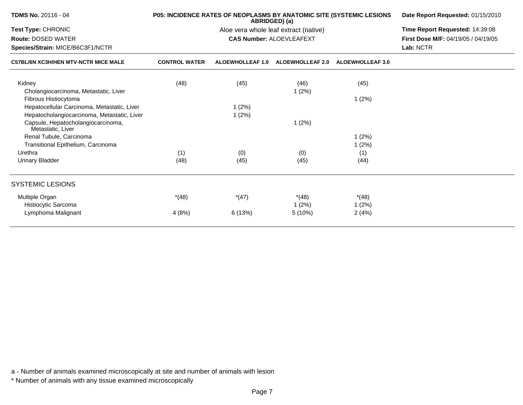| <b>TDMS No. 20116 - 04</b>                              |                      | <b>P05: INCIDENCE RATES OF NEOPLASMS BY ANATOMIC SITE (SYSTEMIC LESIONS</b><br>ABRIDGED) (a) | Date Report Requested: 01/15/2010     |                         |                                            |
|---------------------------------------------------------|----------------------|----------------------------------------------------------------------------------------------|---------------------------------------|-------------------------|--------------------------------------------|
| Test Type: CHRONIC                                      |                      |                                                                                              | Aloe vera whole leaf extract (native) |                         | Time Report Requested: 14:39:08            |
| <b>Route: DOSED WATER</b>                               |                      |                                                                                              | <b>CAS Number: ALOEVLEAFEXT</b>       |                         | <b>First Dose M/F: 04/19/05 / 04/19/05</b> |
| Species/Strain: MICE/B6C3F1/NCTR                        |                      |                                                                                              | Lab: NCTR                             |                         |                                            |
| <b>C57BL/6N XC3H/HEN MTV-NCTR MICE MALE</b>             | <b>CONTROL WATER</b> | <b>ALOEWHOLLEAF 1.0</b>                                                                      | <b>ALOEWHOLLEAF 2.0</b>               | <b>ALOEWHOLLEAF 3.0</b> |                                            |
| Kidney                                                  | (48)                 | (45)                                                                                         | (46)                                  | (45)                    |                                            |
| Cholangiocarcinoma, Metastatic, Liver                   |                      |                                                                                              | 1(2%)                                 |                         |                                            |
| Fibrous Histiocytoma                                    |                      |                                                                                              |                                       | 1(2%)                   |                                            |
| Hepatocellular Carcinoma, Metastatic, Liver             |                      | 1(2%)                                                                                        |                                       |                         |                                            |
| Hepatocholangiocarcinoma, Metastatic, Liver             |                      | 1(2%)                                                                                        |                                       |                         |                                            |
| Capsule, Hepatocholangiocarcinoma,<br>Metastatic, Liver |                      |                                                                                              | 1(2%)                                 |                         |                                            |
| Renal Tubule, Carcinoma                                 |                      |                                                                                              |                                       | 1(2%)                   |                                            |
| Transitional Epithelium, Carcinoma                      |                      |                                                                                              |                                       | 1(2%)                   |                                            |
| Urethra                                                 | (1)                  | (0)                                                                                          | (0)                                   | (1)                     |                                            |
| <b>Urinary Bladder</b>                                  | (48)                 | (45)                                                                                         | (45)                                  | (44)                    |                                            |
| <b>SYSTEMIC LESIONS</b>                                 |                      |                                                                                              |                                       |                         |                                            |
| Multiple Organ                                          | $*(48)$              | $*(47)$                                                                                      | $*(48)$                               | $*(48)$                 |                                            |
| Histiocytic Sarcoma                                     |                      |                                                                                              | 1(2%)                                 | 1(2%)                   |                                            |
| Lymphoma Malignant                                      | 4(8%)                | 6(13%)                                                                                       | 5(10%)                                | 2(4%)                   |                                            |
|                                                         |                      |                                                                                              |                                       |                         |                                            |

\* Number of animals with any tissue examined microscopically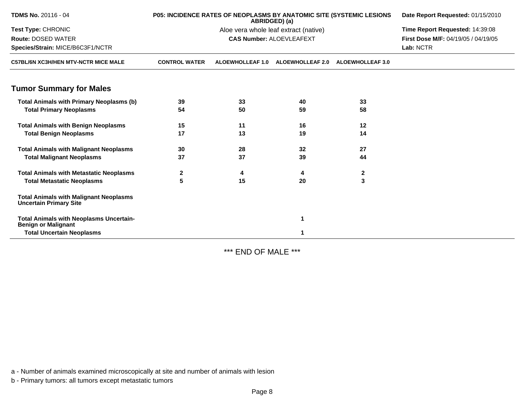| <b>TDMS No. 20116 - 04</b>                                                     | Date Report Requested: 01/15/2010 |                         |                                       |                         |                                     |
|--------------------------------------------------------------------------------|-----------------------------------|-------------------------|---------------------------------------|-------------------------|-------------------------------------|
| Test Type: CHRONIC                                                             |                                   |                         | Aloe vera whole leaf extract (native) |                         | Time Report Requested: 14:39:08     |
| <b>Route: DOSED WATER</b>                                                      |                                   |                         | <b>CAS Number: ALOEVLEAFEXT</b>       |                         | First Dose M/F: 04/19/05 / 04/19/05 |
| Species/Strain: MICE/B6C3F1/NCTR                                               |                                   |                         |                                       | Lab: NCTR               |                                     |
| <b>C57BL/6N XC3H/HEN MTV-NCTR MICE MALE</b>                                    | <b>CONTROL WATER</b>              | <b>ALOEWHOLLEAF 1.0</b> | <b>ALOEWHOLLEAF 2.0</b>               | <b>ALOEWHOLLEAF 3.0</b> |                                     |
| <b>Tumor Summary for Males</b>                                                 |                                   |                         |                                       |                         |                                     |
| <b>Total Animals with Primary Neoplasms (b)</b>                                | 39                                | 33                      | 40                                    | 33                      |                                     |
| <b>Total Primary Neoplasms</b>                                                 | 54                                | 50                      | 59                                    | 58                      |                                     |
| <b>Total Animals with Benign Neoplasms</b>                                     | 15                                | 11                      | 16                                    | 12                      |                                     |
| <b>Total Benign Neoplasms</b>                                                  | 17                                | 13                      | 19                                    | 14                      |                                     |
| <b>Total Animals with Malignant Neoplasms</b>                                  | 30                                | 28                      | 32                                    | 27                      |                                     |
| <b>Total Malignant Neoplasms</b>                                               | 37                                | 37                      | 39                                    | 44                      |                                     |
| <b>Total Animals with Metastatic Neoplasms</b>                                 | $\mathbf{2}$                      | 4                       | 4                                     | $\mathbf 2$             |                                     |
| <b>Total Metastatic Neoplasms</b>                                              | 5                                 | 15                      | 20                                    | 3                       |                                     |
| <b>Total Animals with Malignant Neoplasms</b><br><b>Uncertain Primary Site</b> |                                   |                         |                                       |                         |                                     |
| <b>Total Animals with Neoplasms Uncertain-</b><br><b>Benign or Malignant</b>   |                                   |                         | 1                                     |                         |                                     |
| <b>Total Uncertain Neoplasms</b>                                               |                                   |                         |                                       |                         |                                     |

\*\*\* END OF MALE \*\*\*

a - Number of animals examined microscopically at site and number of animals with lesion

b - Primary tumors: all tumors except metastatic tumors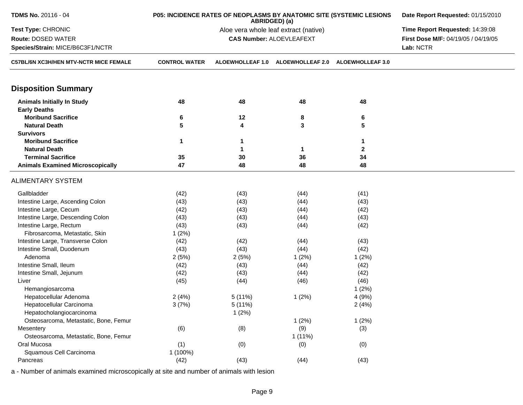| <b>TDMS No. 20116 - 04</b><br>P05: INCIDENCE RATES OF NEOPLASMS BY ANATOMIC SITE (SYSTEMIC LESIONS<br>ABRIDGED) (a) |                      |                                       |                                 |                         | Date Report Requested: 01/15/2010   |
|---------------------------------------------------------------------------------------------------------------------|----------------------|---------------------------------------|---------------------------------|-------------------------|-------------------------------------|
| Test Type: CHRONIC                                                                                                  |                      | Aloe vera whole leaf extract (native) | Time Report Requested: 14:39:08 |                         |                                     |
| <b>Route: DOSED WATER</b>                                                                                           |                      | <b>CAS Number: ALOEVLEAFEXT</b>       |                                 |                         | First Dose M/F: 04/19/05 / 04/19/05 |
| Species/Strain: MICE/B6C3F1/NCTR                                                                                    |                      |                                       |                                 |                         | Lab: NCTR                           |
| C57BL/6N XC3H/HEN MTV-NCTR MICE FEMALE                                                                              | <b>CONTROL WATER</b> | <b>ALOEWHOLLEAF 1.0</b>               | <b>ALOEWHOLLEAF 2.0</b>         | <b>ALOEWHOLLEAF 3.0</b> |                                     |
| <b>Disposition Summary</b>                                                                                          |                      |                                       |                                 |                         |                                     |
| <b>Animals Initially In Study</b>                                                                                   | 48                   | 48                                    | 48                              | 48                      |                                     |
| <b>Early Deaths</b>                                                                                                 |                      |                                       |                                 |                         |                                     |
| <b>Moribund Sacrifice</b>                                                                                           | 6                    | 12                                    | 8                               | 6                       |                                     |
| <b>Natural Death</b>                                                                                                | 5                    | 4                                     | 3                               | 5                       |                                     |
| <b>Survivors</b>                                                                                                    |                      |                                       |                                 |                         |                                     |
| <b>Moribund Sacrifice</b>                                                                                           | 1                    | 1                                     |                                 | 1                       |                                     |
| <b>Natural Death</b>                                                                                                |                      | 1                                     | $\mathbf 1$                     | $\overline{2}$          |                                     |
| <b>Terminal Sacrifice</b>                                                                                           | 35                   | 30                                    | 36                              | 34                      |                                     |
| <b>Animals Examined Microscopically</b>                                                                             | 47                   | 48                                    | 48                              | 48                      |                                     |
| <b>ALIMENTARY SYSTEM</b>                                                                                            |                      |                                       |                                 |                         |                                     |
| Gallbladder                                                                                                         | (42)                 | (43)                                  | (44)                            | (41)                    |                                     |
| Intestine Large, Ascending Colon                                                                                    | (43)                 | (43)                                  | (44)                            | (43)                    |                                     |
| Intestine Large, Cecum                                                                                              | (42)                 | (43)                                  | (44)                            | (42)                    |                                     |
| Intestine Large, Descending Colon                                                                                   | (43)                 | (43)                                  | (44)                            | (43)                    |                                     |
| Intestine Large, Rectum                                                                                             | (43)                 | (43)                                  | (44)                            | (42)                    |                                     |
| Fibrosarcoma, Metastatic, Skin                                                                                      | 1(2%)                |                                       |                                 |                         |                                     |
| Intestine Large, Transverse Colon                                                                                   | (42)                 | (42)                                  | (44)                            | (43)                    |                                     |
| Intestine Small, Duodenum                                                                                           | (43)                 | (43)                                  | (44)                            | (42)                    |                                     |
| Adenoma                                                                                                             | 2(5%)                | 2(5%)                                 | 1(2%)                           | 1(2%)                   |                                     |
| Intestine Small, Ileum                                                                                              | (42)                 | (43)                                  | (44)                            | (42)                    |                                     |
| Intestine Small, Jejunum                                                                                            | (42)                 | (43)                                  | (44)                            | (42)                    |                                     |
| Liver                                                                                                               | (45)                 | (44)                                  | (46)                            | (46)                    |                                     |
| Hemangiosarcoma                                                                                                     |                      |                                       |                                 | 1(2%)                   |                                     |
| Hepatocellular Adenoma                                                                                              | 2(4%)                | 5(11%)                                | 1(2%)                           | 4(9%)                   |                                     |
| Hepatocellular Carcinoma                                                                                            | 3(7%)                | 5(11%)                                |                                 | 2(4%)                   |                                     |
| Hepatocholangiocarcinoma                                                                                            |                      | 1(2%)                                 |                                 |                         |                                     |
| Osteosarcoma, Metastatic, Bone, Femur                                                                               |                      |                                       | 1(2%)                           | 1(2%)                   |                                     |
| Mesentery                                                                                                           | (6)                  | (8)                                   | (9)                             | (3)                     |                                     |
| Osteosarcoma, Metastatic, Bone, Femur                                                                               |                      |                                       | 1(11%)                          |                         |                                     |
| Oral Mucosa                                                                                                         | (1)                  | (0)                                   | (0)                             | (0)                     |                                     |
| Squamous Cell Carcinoma                                                                                             | 1 (100%)             |                                       |                                 |                         |                                     |
| Pancreas                                                                                                            | (42)                 | (43)                                  | (44)                            | (43)                    |                                     |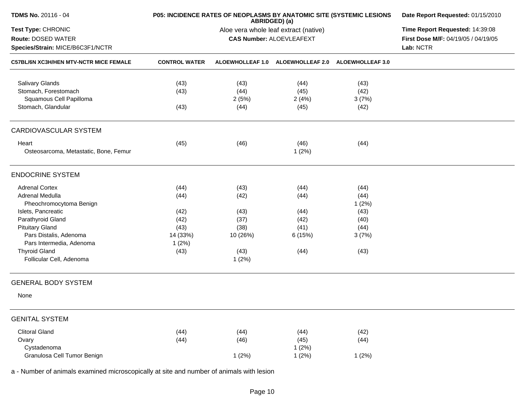| <b>TDMS No. 20116 - 04</b>                       | P05: INCIDENCE RATES OF NEOPLASMS BY ANATOMIC SITE (SYSTEMIC LESIONS | Date Report Requested: 01/15/2010 |                                       |                                   |                                     |
|--------------------------------------------------|----------------------------------------------------------------------|-----------------------------------|---------------------------------------|-----------------------------------|-------------------------------------|
| Test Type: CHRONIC                               |                                                                      |                                   | Aloe vera whole leaf extract (native) |                                   | Time Report Requested: 14:39:08     |
| Route: DOSED WATER                               |                                                                      |                                   | <b>CAS Number: ALOEVLEAFEXT</b>       |                                   | First Dose M/F: 04/19/05 / 04/19/05 |
| Species/Strain: MICE/B6C3F1/NCTR                 |                                                                      |                                   |                                       |                                   | Lab: NCTR                           |
| C57BL/6N XC3H/HEN MTV-NCTR MICE FEMALE           | <b>CONTROL WATER</b>                                                 | <b>ALOEWHOLLEAF 1.0</b>           |                                       | ALOEWHOLLEAF 2.0 ALOEWHOLLEAF 3.0 |                                     |
| <b>Salivary Glands</b>                           | (43)                                                                 | (43)                              | (44)                                  | (43)                              |                                     |
| Stomach, Forestomach                             | (43)                                                                 | (44)                              | (45)                                  | (42)                              |                                     |
| Squamous Cell Papilloma                          |                                                                      | 2(5%)                             | 2(4%)                                 | 3(7%)                             |                                     |
| Stomach, Glandular                               | (43)                                                                 | (44)                              | (45)                                  | (42)                              |                                     |
| CARDIOVASCULAR SYSTEM                            |                                                                      |                                   |                                       |                                   |                                     |
| Heart                                            | (45)                                                                 | (46)                              | (46)                                  | (44)                              |                                     |
| Osteosarcoma, Metastatic, Bone, Femur            |                                                                      |                                   | 1(2%)                                 |                                   |                                     |
| <b>ENDOCRINE SYSTEM</b>                          |                                                                      |                                   |                                       |                                   |                                     |
| <b>Adrenal Cortex</b>                            | (44)                                                                 | (43)                              | (44)                                  | (44)                              |                                     |
| Adrenal Medulla                                  | (44)                                                                 | (42)                              | (44)                                  | (44)                              |                                     |
| Pheochromocytoma Benign                          |                                                                      |                                   |                                       | 1(2%)                             |                                     |
| Islets, Pancreatic                               | (42)                                                                 | (43)                              | (44)                                  | (43)                              |                                     |
| Parathyroid Gland                                | (42)                                                                 | (37)                              | (42)                                  | (40)                              |                                     |
| <b>Pituitary Gland</b>                           | (43)                                                                 | (38)                              | (41)                                  | (44)                              |                                     |
| Pars Distalis, Adenoma                           | 14 (33%)                                                             | 10 (26%)                          | 6 (15%)                               | 3(7%)                             |                                     |
| Pars Intermedia, Adenoma                         | 1(2%)                                                                |                                   |                                       |                                   |                                     |
| <b>Thyroid Gland</b><br>Follicular Cell, Adenoma | (43)                                                                 | (43)<br>1(2%)                     | (44)                                  | (43)                              |                                     |
|                                                  |                                                                      |                                   |                                       |                                   |                                     |
| <b>GENERAL BODY SYSTEM</b>                       |                                                                      |                                   |                                       |                                   |                                     |
| None                                             |                                                                      |                                   |                                       |                                   |                                     |
| <b>GENITAL SYSTEM</b>                            |                                                                      |                                   |                                       |                                   |                                     |
| <b>Clitoral Gland</b>                            | (44)                                                                 | (44)                              | (44)                                  | (42)                              |                                     |
| Ovary                                            | (44)                                                                 | (46)                              | (45)                                  | (44)                              |                                     |
| Cystadenoma                                      |                                                                      |                                   | 1(2%)                                 |                                   |                                     |
| Granulosa Cell Tumor Benign                      |                                                                      | 1(2%)                             | 1(2%)                                 | 1(2%)                             |                                     |
|                                                  |                                                                      |                                   |                                       |                                   |                                     |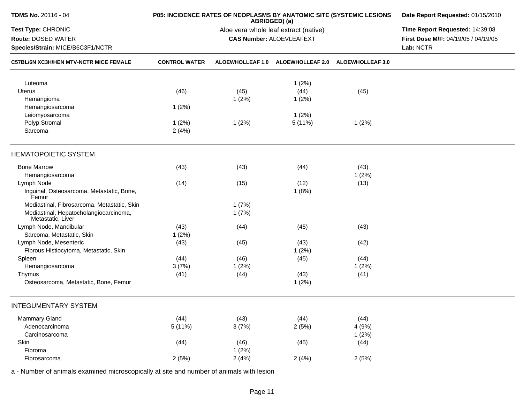| <b>TDMS No. 20116 - 04</b>                                                   | P05: INCIDENCE RATES OF NEOPLASMS BY ANATOMIC SITE (SYSTEMIC LESIONS | Date Report Requested: 01/15/2010                                        |                                                                                     |                         |  |
|------------------------------------------------------------------------------|----------------------------------------------------------------------|--------------------------------------------------------------------------|-------------------------------------------------------------------------------------|-------------------------|--|
| Test Type: CHRONIC<br>Route: DOSED WATER<br>Species/Strain: MICE/B6C3F1/NCTR |                                                                      | Aloe vera whole leaf extract (native)<br><b>CAS Number: ALOEVLEAFEXT</b> | Time Report Requested: 14:39:08<br>First Dose M/F: 04/19/05 / 04/19/05<br>Lab: NCTR |                         |  |
| C57BL/6N XC3H/HEN MTV-NCTR MICE FEMALE                                       | <b>CONTROL WATER</b>                                                 | ALOEWHOLLEAF 1.0                                                         | <b>ALOEWHOLLEAF 2.0</b>                                                             | <b>ALOEWHOLLEAF 3.0</b> |  |
| Luteoma                                                                      |                                                                      |                                                                          | 1(2%)                                                                               |                         |  |
| Uterus                                                                       | (46)                                                                 | (45)                                                                     | (44)                                                                                | (45)                    |  |
| Hemangioma                                                                   |                                                                      | 1(2%)                                                                    | 1(2%)                                                                               |                         |  |
| Hemangiosarcoma                                                              | 1(2%)                                                                |                                                                          |                                                                                     |                         |  |
| Leiomyosarcoma                                                               |                                                                      |                                                                          | 1(2%)                                                                               |                         |  |
| Polyp Stromal                                                                | 1(2%)                                                                | 1(2%)                                                                    | 5(11%)                                                                              | 1(2%)                   |  |
| Sarcoma                                                                      | 2(4%)                                                                |                                                                          |                                                                                     |                         |  |
| <b>HEMATOPOIETIC SYSTEM</b>                                                  |                                                                      |                                                                          |                                                                                     |                         |  |
| <b>Bone Marrow</b>                                                           | (43)                                                                 | (43)                                                                     | (44)                                                                                | (43)                    |  |
| Hemangiosarcoma                                                              |                                                                      |                                                                          |                                                                                     | 1(2%)                   |  |
| Lymph Node                                                                   | (14)                                                                 | (15)                                                                     | (12)                                                                                | (13)                    |  |
| Inguinal, Osteosarcoma, Metastatic, Bone,<br>Femur                           |                                                                      |                                                                          | 1(8%)                                                                               |                         |  |
| Mediastinal, Fibrosarcoma, Metastatic, Skin                                  |                                                                      | 1(7%)                                                                    |                                                                                     |                         |  |
| Mediastinal, Hepatocholangiocarcinoma,<br>Metastatic, Liver                  |                                                                      | 1(7%)                                                                    |                                                                                     |                         |  |
| Lymph Node, Mandibular                                                       | (43)                                                                 | (44)                                                                     | (45)                                                                                | (43)                    |  |
| Sarcoma, Metastatic, Skin                                                    | 1(2%)                                                                |                                                                          |                                                                                     |                         |  |
| Lymph Node, Mesenteric                                                       | (43)                                                                 | (45)                                                                     | (43)                                                                                | (42)                    |  |
| Fibrous Histiocytoma, Metastatic, Skin                                       |                                                                      |                                                                          | 1(2%)                                                                               |                         |  |
| Spleen                                                                       | (44)                                                                 | (46)                                                                     | (45)                                                                                | (44)                    |  |
| Hemangiosarcoma                                                              | 3(7%)                                                                | 1(2%)                                                                    |                                                                                     | 1(2%)                   |  |
| Thymus                                                                       | (41)                                                                 | (44)                                                                     | (43)                                                                                | (41)                    |  |
| Osteosarcoma, Metastatic, Bone, Femur                                        |                                                                      |                                                                          | 1(2%)                                                                               |                         |  |
| <b>INTEGUMENTARY SYSTEM</b>                                                  |                                                                      |                                                                          |                                                                                     |                         |  |
| <b>Mammary Gland</b>                                                         | (44)                                                                 | (43)                                                                     | (44)                                                                                | (44)                    |  |
| Adenocarcinoma                                                               | 5 (11%)                                                              | 3(7%)                                                                    | 2(5%)                                                                               | 4 (9%)                  |  |
| Carcinosarcoma                                                               |                                                                      |                                                                          |                                                                                     | 1(2%)                   |  |
| Skin                                                                         | (44)                                                                 | (46)                                                                     | (45)                                                                                | (44)                    |  |
| Fibroma                                                                      |                                                                      | 1(2%)                                                                    |                                                                                     |                         |  |
| Fibrosarcoma                                                                 | 2(5%)                                                                | 2(4%)                                                                    | 2(4%)                                                                               | 2(5%)                   |  |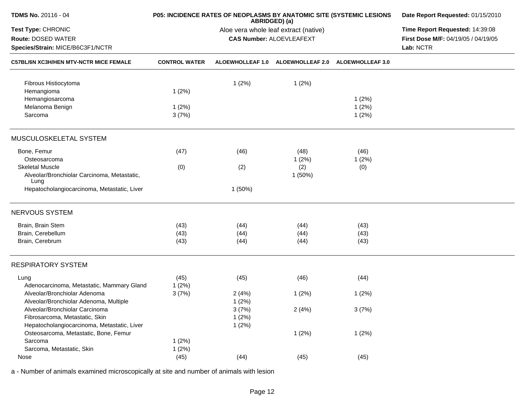| TDMS No. 20116 - 04                                                       |                      | P05: INCIDENCE RATES OF NEOPLASMS BY ANATOMIC SITE (SYSTEMIC LESIONS<br>ABRIDGED) (a) | Date Report Requested: 01/15/2010<br>Time Report Requested: 14:39:08 |                         |                                     |
|---------------------------------------------------------------------------|----------------------|---------------------------------------------------------------------------------------|----------------------------------------------------------------------|-------------------------|-------------------------------------|
| Test Type: CHRONIC                                                        |                      | Aloe vera whole leaf extract (native)                                                 |                                                                      |                         |                                     |
| Route: DOSED WATER                                                        |                      |                                                                                       | <b>CAS Number: ALOEVLEAFEXT</b>                                      |                         | First Dose M/F: 04/19/05 / 04/19/05 |
| Species/Strain: MICE/B6C3F1/NCTR                                          |                      |                                                                                       |                                                                      |                         | Lab: NCTR                           |
| C57BL/6N XC3H/HEN MTV-NCTR MICE FEMALE                                    | <b>CONTROL WATER</b> | ALOEWHOLLEAF 1.0                                                                      | <b>ALOEWHOLLEAF 2.0</b>                                              | <b>ALOEWHOLLEAF 3.0</b> |                                     |
| Fibrous Histiocytoma                                                      |                      | 1(2%)                                                                                 | 1(2%)                                                                |                         |                                     |
| Hemangioma                                                                | 1(2%)                |                                                                                       |                                                                      |                         |                                     |
| Hemangiosarcoma                                                           |                      |                                                                                       |                                                                      | 1(2%)                   |                                     |
| Melanoma Benign                                                           | 1(2%)                |                                                                                       |                                                                      | 1(2%)                   |                                     |
| Sarcoma                                                                   | 3(7%)                |                                                                                       |                                                                      | 1(2%)                   |                                     |
| MUSCULOSKELETAL SYSTEM                                                    |                      |                                                                                       |                                                                      |                         |                                     |
| Bone, Femur                                                               | (47)                 | (46)                                                                                  | (48)                                                                 | (46)                    |                                     |
| Osteosarcoma                                                              |                      |                                                                                       | 1(2%)                                                                | 1(2%)                   |                                     |
| <b>Skeletal Muscle</b>                                                    | (0)                  | (2)                                                                                   | (2)                                                                  | (0)                     |                                     |
| Alveolar/Bronchiolar Carcinoma, Metastatic,<br>Lung                       |                      |                                                                                       | 1(50%)                                                               |                         |                                     |
| Hepatocholangiocarcinoma, Metastatic, Liver                               |                      | 1(50%)                                                                                |                                                                      |                         |                                     |
| NERVOUS SYSTEM                                                            |                      |                                                                                       |                                                                      |                         |                                     |
| Brain, Brain Stem                                                         | (43)                 | (44)                                                                                  | (44)                                                                 | (43)                    |                                     |
| Brain, Cerebellum                                                         | (43)                 | (44)                                                                                  | (44)                                                                 | (43)                    |                                     |
| Brain, Cerebrum                                                           | (43)                 | (44)                                                                                  | (44)                                                                 | (43)                    |                                     |
| <b>RESPIRATORY SYSTEM</b>                                                 |                      |                                                                                       |                                                                      |                         |                                     |
| Lung                                                                      | (45)                 | (45)                                                                                  | (46)                                                                 | (44)                    |                                     |
| Adenocarcinoma, Metastatic, Mammary Gland<br>Alveolar/Bronchiolar Adenoma | 1(2%)                |                                                                                       |                                                                      |                         |                                     |
| Alveolar/Bronchiolar Adenoma, Multiple                                    | 3(7%)                | 2(4%)<br>1(2%)                                                                        | 1(2%)                                                                | 1(2%)                   |                                     |
| Alveolar/Bronchiolar Carcinoma                                            |                      | 3(7%)                                                                                 | 2(4%)                                                                | 3(7%)                   |                                     |
| Fibrosarcoma, Metastatic, Skin                                            |                      | 1(2%)                                                                                 |                                                                      |                         |                                     |
| Hepatocholangiocarcinoma, Metastatic, Liver                               |                      | 1(2%)                                                                                 |                                                                      |                         |                                     |
| Osteosarcoma, Metastatic, Bone, Femur                                     |                      |                                                                                       | 1(2%)                                                                | 1(2%)                   |                                     |
| Sarcoma                                                                   | 1(2%)                |                                                                                       |                                                                      |                         |                                     |
| Sarcoma, Metastatic, Skin                                                 | 1(2%)                |                                                                                       |                                                                      |                         |                                     |
| Nose                                                                      | (45)                 | (44)                                                                                  | (45)                                                                 | (45)                    |                                     |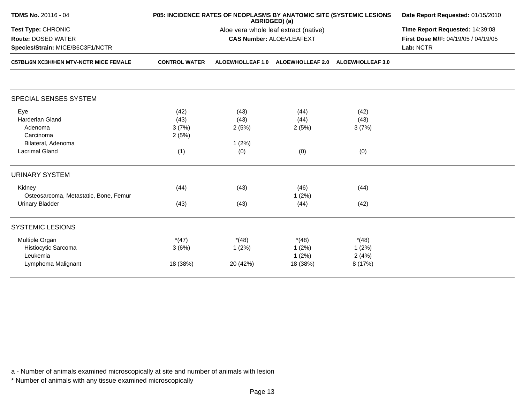| TDMS No. 20116 - 04                                                               |                      | P05: INCIDENCE RATES OF NEOPLASMS BY ANATOMIC SITE (SYSTEMIC LESIONS<br>ABRIDGED) (a) | Date Report Requested: 01/15/2010<br>Time Report Requested: 14:39:08<br>First Dose M/F: 04/19/05 / 04/19/05<br>Lab: NCTR |                         |  |
|-----------------------------------------------------------------------------------|----------------------|---------------------------------------------------------------------------------------|--------------------------------------------------------------------------------------------------------------------------|-------------------------|--|
| Test Type: CHRONIC                                                                |                      | Aloe vera whole leaf extract (native)                                                 |                                                                                                                          |                         |  |
| <b>Route: DOSED WATER</b>                                                         |                      | <b>CAS Number: ALOEVLEAFEXT</b>                                                       |                                                                                                                          |                         |  |
| Species/Strain: MICE/B6C3F1/NCTR<br><b>C57BL/6N XC3H/HEN MTV-NCTR MICE FEMALE</b> |                      |                                                                                       |                                                                                                                          |                         |  |
|                                                                                   | <b>CONTROL WATER</b> | <b>ALOEWHOLLEAF 1.0</b>                                                               | <b>ALOEWHOLLEAF 2.0</b>                                                                                                  | <b>ALOEWHOLLEAF 3.0</b> |  |
|                                                                                   |                      |                                                                                       |                                                                                                                          |                         |  |
| SPECIAL SENSES SYSTEM                                                             |                      |                                                                                       |                                                                                                                          |                         |  |
| Eye                                                                               | (42)                 | (43)                                                                                  | (44)                                                                                                                     | (42)                    |  |
| Harderian Gland                                                                   | (43)                 | (43)                                                                                  | (44)                                                                                                                     | (43)                    |  |
| Adenoma                                                                           | 3(7%)                | 2(5%)                                                                                 | 2(5%)                                                                                                                    | 3(7%)                   |  |
| Carcinoma                                                                         | 2(5%)                |                                                                                       |                                                                                                                          |                         |  |
| Bilateral, Adenoma                                                                |                      | 1(2%)                                                                                 |                                                                                                                          |                         |  |
| <b>Lacrimal Gland</b>                                                             | (1)                  | (0)                                                                                   | (0)                                                                                                                      | (0)                     |  |
| <b>URINARY SYSTEM</b>                                                             |                      |                                                                                       |                                                                                                                          |                         |  |
| Kidney                                                                            | (44)                 | (43)                                                                                  | (46)                                                                                                                     | (44)                    |  |
| Osteosarcoma, Metastatic, Bone, Femur                                             |                      |                                                                                       | 1(2%)                                                                                                                    |                         |  |
| <b>Urinary Bladder</b>                                                            | (43)                 | (43)                                                                                  | (44)                                                                                                                     | (42)                    |  |
| <b>SYSTEMIC LESIONS</b>                                                           |                      |                                                                                       |                                                                                                                          |                         |  |
| Multiple Organ                                                                    | $*(47)$              | $*(48)$                                                                               | $*(48)$                                                                                                                  | $*(48)$                 |  |
| Histiocytic Sarcoma                                                               | 3(6%)                | 1(2%)                                                                                 | 1(2%)                                                                                                                    | 1(2%)                   |  |
| Leukemia                                                                          |                      |                                                                                       | 1(2%)                                                                                                                    | 2(4%)                   |  |
| Lymphoma Malignant                                                                | 18 (38%)             | 20 (42%)                                                                              | 18 (38%)                                                                                                                 | 8 (17%)                 |  |
|                                                                                   |                      |                                                                                       |                                                                                                                          |                         |  |

\* Number of animals with any tissue examined microscopically